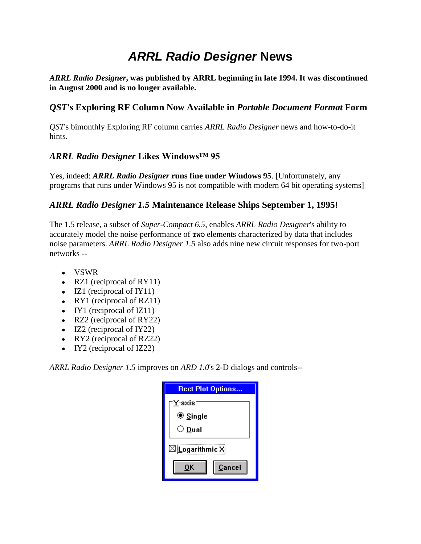# *ARRL Radio Designer* **News**

*ARRL Radio Designer***, was published by ARRL beginning in late 1994. It was discontinued in August 2000 and is no longer available.** 

## *QST***'s Exploring RF Column Now Available in** *Portable Document Format* **Form**

*QST*'s bimonthly Exploring RF column carries *ARRL Radio Designer* news and how-to-do-it hints.

# *ARRL Radio Designer* **Likes Windows™ 95**

Yes, indeed: *ARRL Radio Designer* **runs fine under Windows 95**. [Unfortunately, any programs that runs under Windows 95 is not compatible with modern 64 bit operating systems]

# *ARRL Radio Designer 1.5* **Maintenance Release Ships September 1, 1995!**

The 1.5 release, a subset of *Super-Compact 6.5*, enables *ARRL Radio Designer*'s ability to accurately model the noise performance of **TWO** elements characterized by data that includes noise parameters. *ARRL Radio Designer 1.5* also adds nine new circuit responses for two-port networks *--*

- VSWR
- RZ1 (reciprocal of RY11)
- $\bullet$  IZ1 (reciprocal of IY11)
- RY1 (reciprocal of RZ11)
- $\bullet$  IY1 (reciprocal of IZ11)
- RZ2 (reciprocal of RY22)
- $\bullet$  IZ2 (reciprocal of IY22)
- RY2 (reciprocal of RZ22)
- IY2 (reciprocal of IZ22)

*ARRL Radio Designer 1.5* improves on *ARD 1.0*'s 2-D dialogs and controls--

| <b>Rect Plot Options</b>  |
|---------------------------|
| Y-axis                    |
| $\circledast$ Single      |
| $\circlearrowright$ Dual  |
| $\boxtimes$ Logarithmic X |
| Cancel<br>OK              |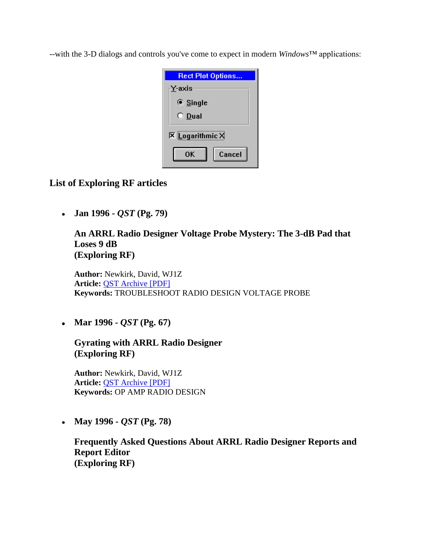--with the 3-D dialogs and controls you've come to expect in modern *Windows*™ applications:

| <b>Rect Plot Options</b>                     |
|----------------------------------------------|
| Y-axis                                       |
| $\bullet$ Single                             |
| $\circ$ Dual                                 |
| $\overline{\mathbf{x}}$ <i>Logarithmic</i> X |
| Cancel<br>OΚ                                 |

**List of Exploring RF articles**

**Jan 1996 -** *QST* **(Pg. 79)**

**An ARRL Radio Designer Voltage Probe Mystery: The 3-dB Pad that Loses 9 dB (Exploring RF)** 

**Author:** Newkirk, David, WJ1Z **Article:** [QST Archive \[PDF\]](http://p1k.arrl.org/pubs_archive/92226) **Keywords:** TROUBLESHOOT RADIO DESIGN VOLTAGE PROBE

**Mar 1996 -** *QST* **(Pg. 67)**

**Gyrating with ARRL Radio Designer (Exploring RF)** 

**Author:** Newkirk, David, WJ1Z **Article:** [QST Archive \[PDF\]](http://p1k.arrl.org/pubs_archive/92345) **Keywords:** OP AMP RADIO DESIGN

**May 1996 -** *QST* **(Pg. 78)**

**Frequently Asked Questions About ARRL Radio Designer Reports and Report Editor (Exploring RF)**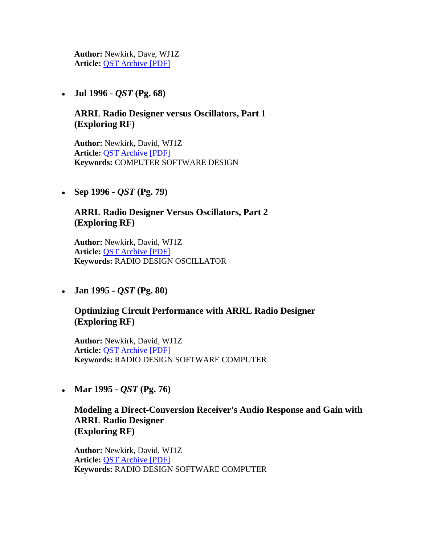**Author:** Newkirk, Dave, WJ1Z **Article:** [QST Archive \[PDF\]](http://p1k.arrl.org/pubs_archive/92476)

**Jul 1996 -** *QST* **(Pg. 68)**

## **ARRL Radio Designer versus Oscillators, Part 1 (Exploring RF)**

**Author:** Newkirk, David, WJ1Z **Article:** [QST Archive \[PDF\]](http://p1k.arrl.org/pubs_archive/92598) **Keywords:** COMPUTER SOFTWARE DESIGN

**Sep 1996 -** *QST* **(Pg. 79)**

## **ARRL Radio Designer Versus Oscillators, Part 2 (Exploring RF)**

**Author:** Newkirk, David, WJ1Z **Article:** [QST Archive \[PDF\]](http://p1k.arrl.org/pubs_archive/92725) **Keywords:** RADIO DESIGN OSCILLATOR

**Jan 1995 -** *QST* **(Pg. 80)**

### **Optimizing Circuit Performance with ARRL Radio Designer (Exploring RF)**

**Author:** Newkirk, David, WJ1Z **Article:** [QST Archive \[PDF\]](http://p1k.arrl.org/pubs_archive/91117) **Keywords:** RADIO DESIGN SOFTWARE COMPUTER

**Mar 1995 -** *QST* **(Pg. 76)**

**Modeling a Direct-Conversion Receiver's Audio Response and Gain with ARRL Radio Designer (Exploring RF)** 

**Author:** Newkirk, David, WJ1Z **Article:** [QST Archive \[PDF\]](http://p1k.arrl.org/pubs_archive/91217) **Keywords:** RADIO DESIGN SOFTWARE COMPUTER